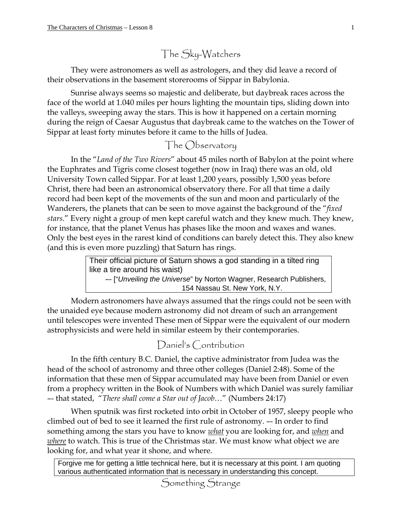The Sky-Watchers

They were astronomers as well as astrologers, and they did leave a record of their observations in the basement storerooms of Sippar in Babylonia.

Sunrise always seems so majestic and deliberate, but daybreak races across the face of the world at 1.040 miles per hours lighting the mountain tips, sliding down into the valleys, sweeping away the stars. This is how it happened on a certain morning during the reign of Caesar Augustus that daybreak came to the watches on the Tower of Sippar at least forty minutes before it came to the hills of Judea.

## The Observatory

In the "*Land of the Two Rivers*" about 45 miles north of Babylon at the point where the Euphrates and Tigris come closest together (now in Iraq) there was an old, old University Town called Sippar. For at least 1,200 years, possibly 1,500 yeas before Christ, there had been an astronomical observatory there. For all that time a daily record had been kept of the movements of the sun and moon and particularly of the Wanderers, the planets that can be seen to move against the background of the "*fixed stars*." Every night a group of men kept careful watch and they knew much. They knew, for instance, that the planet Venus has phases like the moon and waxes and wanes. Only the best eyes in the rarest kind of conditions can barely detect this. They also knew (and this is even more puzzling) that Saturn has rings.

> Their official picture of Saturn shows a god standing in a tilted ring like a tire around his waist) –- ["*Unveiling the Universe*" by Norton Wagner, Research Publishers, 154 Nassau St. New York, N.Y.

Modern astronomers have always assumed that the rings could not be seen with the unaided eye because modern astronomy did not dream of such an arrangement until telescopes were invented These men of Sippar were the equivalent of our modern astrophysicists and were held in similar esteem by their contemporaries.

## Daniel's Contribution

In the fifth century B.C. Daniel, the captive administrator from Judea was the head of the school of astronomy and three other colleges (Daniel 2:48). Some of the information that these men of Sippar accumulated may have been from Daniel or even from a prophecy written in the Book of Numbers with which Daniel was surely familiar –- that stated, "*There shall come a Star out of Jacob*…" (Numbers 24:17)

When sputnik was first rocketed into orbit in October of 1957, sleepy people who climbed out of bed to see it learned the first rule of astronomy. –- In order to find something among the stars you have to know *what* you are looking for, and *when* and *where* to watch. This is true of the Christmas star. We must know what object we are looking for, and what year it shone, and where.

Forgive me for getting a little technical here, but it is necessary at this point. I am quoting various authenticated information that is necessary in understanding this concept.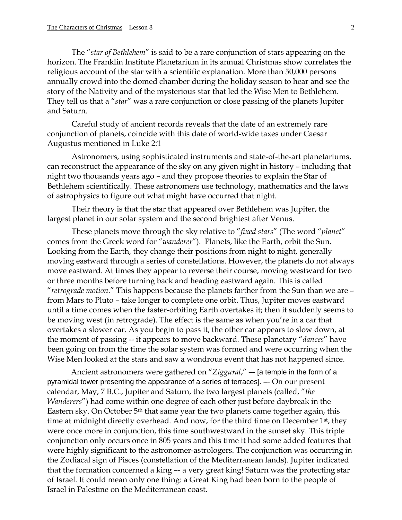The "*star of Bethlehem*" is said to be a rare conjunction of stars appearing on the horizon. The Franklin Institute Planetarium in its annual Christmas show correlates the religious account of the star with a scientific explanation. More than 50,000 persons annually crowd into the domed chamber during the holiday season to hear and see the story of the Nativity and of the mysterious star that led the Wise Men to Bethlehem. They tell us that a "*star*" was a rare conjunction or close passing of the planets Jupiter and Saturn.

Careful study of ancient records reveals that the date of an extremely rare conjunction of planets, coincide with this date of world-wide taxes under Caesar Augustus mentioned in Luke 2:1

Astronomers, using sophisticated instruments and state-of-the-art planetariums, can reconstruct the appearance of the sky on any given night in history – including that night two thousands years ago – and they propose theories to explain the Star of Bethlehem scientifically. These astronomers use technology, mathematics and the laws of astrophysics to figure out what might have occurred that night.

Their theory is that the star that appeared over Bethlehem was Jupiter, the largest planet in our solar system and the second brightest after Venus.

These planets move through the sky relative to "*fixed stars*" (The word "*planet*" comes from the Greek word for "*wanderer*"). Planets, like the Earth, orbit the Sun. Looking from the Earth, they change their positions from night to night, generally moving eastward through a series of constellations. However, the planets do not always move eastward. At times they appear to reverse their course, moving westward for two or three months before turning back and heading eastward again. This is called "*retrograde motion*." This happens because the planets farther from the Sun than we are – from Mars to Pluto – take longer to complete one orbit. Thus, Jupiter moves eastward until a time comes when the faster-orbiting Earth overtakes it; then it suddenly seems to be moving west (in retrograde). The effect is the same as when you're in a car that overtakes a slower car. As you begin to pass it, the other car appears to slow down, at the moment of passing -- it appears to move backward. These planetary "*dances*" have been going on from the time the solar system was formed and were occurring when the Wise Men looked at the stars and saw a wondrous event that has not happened since.

Ancient astronomers were gathered on "*Ziggural*," –- [a temple in the form of a pyramidal tower presenting the appearance of a series of terraces]. –- On our present calendar, May, 7 B.C., Jupiter and Saturn, the two largest planets (called, "*the Wanderers*") had come within one degree of each other just before daybreak in the Eastern sky. On October 5<sup>th</sup> that same year the two planets came together again, this time at midnight directly overhead. And now, for the third time on December 1<sup>st</sup>, they were once more in conjunction, this time southwestward in the sunset sky. This triple conjunction only occurs once in 805 years and this time it had some added features that were highly significant to the astronomer-astrologers. The conjunction was occurring in the Zodiacal sign of Pisces (constellation of the Mediterranean lands). Jupiter indicated that the formation concerned a king –- a very great king! Saturn was the protecting star of Israel. It could mean only one thing: a Great King had been born to the people of Israel in Palestine on the Mediterranean coast.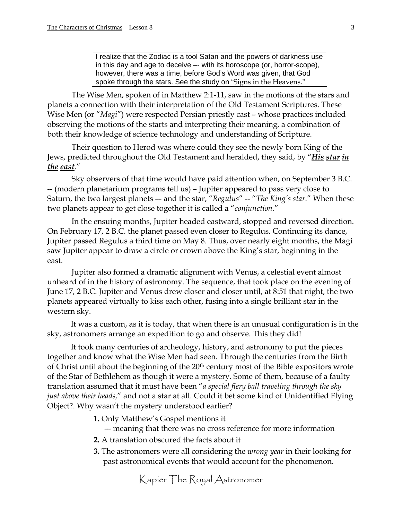I realize that the Zodiac is a tool Satan and the powers of darkness use in this day and age to deceive –- with its horoscope (or, horror-scope), however, there was a time, before God's Word was given, that God spoke through the stars. See the study on "Signs in the Heavens."

The Wise Men, spoken of in Matthew 2:1-11, saw in the motions of the stars and planets a connection with their interpretation of the Old Testament Scriptures. These Wise Men (or "*Magi*") were respected Persian priestly cast – whose practices included observing the motions of the starts and interpreting their meaning, a combination of both their knowledge of science technology and understanding of Scripture.

Their question to Herod was where could they see the newly born King of the Jews, predicted throughout the Old Testament and heralded, they said, by "*His star in the east*."

Sky observers of that time would have paid attention when, on September 3 B.C. -- (modern planetarium programs tell us) – Jupiter appeared to pass very close to Saturn, the two largest planets –- and the star, "*Regulus*" -- "*The King's star*." When these two planets appear to get close together it is called a "*conjunction.*"

In the ensuing months, Jupiter headed eastward, stopped and reversed direction. On February 17, 2 B.C. the planet passed even closer to Regulus. Continuing its dance, Jupiter passed Regulus a third time on May 8. Thus, over nearly eight months, the Magi saw Jupiter appear to draw a circle or crown above the King's star, beginning in the east.

Jupiter also formed a dramatic alignment with Venus, a celestial event almost unheard of in the history of astronomy. The sequence, that took place on the evening of June 17, 2 B.C. Jupiter and Venus drew closer and closer until, at 8:51 that night, the two planets appeared virtually to kiss each other, fusing into a single brilliant star in the western sky.

It was a custom, as it is today, that when there is an unusual configuration is in the sky, astronomers arrange an expedition to go and observe. This they did!

It took many centuries of archeology, history, and astronomy to put the pieces together and know what the Wise Men had seen. Through the centuries from the Birth of Christ until about the beginning of the 20<sup>th</sup> century most of the Bible expositors wrote of the Star of Bethlehem as though it were a mystery. Some of them, because of a faulty translation assumed that it must have been "*a special fiery ball traveling through the sky just above their heads,*" and not a star at all. Could it bet some kind of Unidentified Flying Object?. Why wasn't the mystery understood earlier?

- **1.** Only Matthew's Gospel mentions it
	- –- meaning that there was no cross reference for more information
- **2.** A translation obscured the facts about it
- **3.** The astronomers were all considering the *wrong year* in their looking for past astronomical events that would account for the phenomenon.

Kapier The Royal Astronomer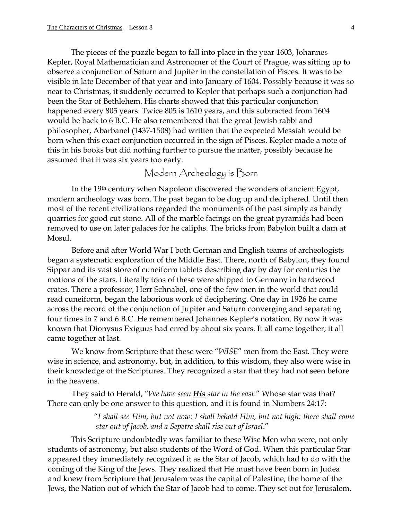The pieces of the puzzle began to fall into place in the year 1603, Johannes Kepler, Royal Mathematician and Astronomer of the Court of Prague, was sitting up to observe a conjunction of Saturn and Jupiter in the constellation of Pisces. It was to be visible in late December of that year and into January of 1604. Possibly because it was so near to Christmas, it suddenly occurred to Kepler that perhaps such a conjunction had been the Star of Bethlehem. His charts showed that this particular conjunction happened every 805 years. Twice 805 is 1610 years, and this subtracted from 1604 would be back to 6 B.C. He also remembered that the great Jewish rabbi and philosopher, Abarbanel (1437-1508) had written that the expected Messiah would be born when this exact conjunction occurred in the sign of Pisces. Kepler made a note of this in his books but did nothing further to pursue the matter, possibly because he assumed that it was six years too early.

## Modern Archeology is Born

In the 19th century when Napoleon discovered the wonders of ancient Egypt, modern archeology was born. The past began to be dug up and deciphered. Until then most of the recent civilizations regarded the monuments of the past simply as handy quarries for good cut stone. All of the marble facings on the great pyramids had been removed to use on later palaces for he caliphs. The bricks from Babylon built a dam at Mosul.

Before and after World War I both German and English teams of archeologists began a systematic exploration of the Middle East. There, north of Babylon, they found Sippar and its vast store of cuneiform tablets describing day by day for centuries the motions of the stars. Literally tons of these were shipped to Germany in hardwood crates. There a professor, Herr Schnabel, one of the few men in the world that could read cuneiform, began the laborious work of deciphering. One day in 1926 he came across the record of the conjunction of Jupiter and Saturn converging and separating four times in 7 and 6 B.C. He remembered Johannes Kepler's notation. By now it was known that Dionysus Exiguus had erred by about six years. It all came together; it all came together at last.

We know from Scripture that these were "*WISE*" men from the East. They were wise in science, and astronomy, but, in addition, to this wisdom, they also were wise in their knowledge of the Scriptures. They recognized a star that they had not seen before in the heavens.

They said to Herald, "*We have seen His star in the east*." Whose star was that? There can only be one answer to this question, and it is found in Numbers 24:17:

> "*I shall see Him, but not now: I shall behold Him, but not high: there shall come star out of Jacob, and a Sepetre shall rise out of Israel*."

This Scripture undoubtedly was familiar to these Wise Men who were, not only students of astronomy, but also students of the Word of God. When this particular Star appeared they immediately recognized it as the Star of Jacob, which had to do with the coming of the King of the Jews. They realized that He must have been born in Judea and knew from Scripture that Jerusalem was the capital of Palestine, the home of the Jews, the Nation out of which the Star of Jacob had to come. They set out for Jerusalem.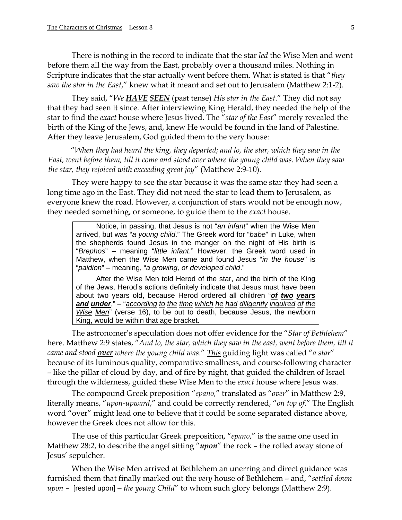There is nothing in the record to indicate that the star *led* the Wise Men and went before them all the way from the East, probably over a thousand miles. Nothing in Scripture indicates that the star actually went before them. What is stated is that "*they saw the star in the East*," knew what it meant and set out to Jerusalem (Matthew 2:1-2).

They said, "*We HAVE SEEN* (past tense) *His star in the East*." They did not say that they had seen it since. After interviewing King Herald, they needed the help of the star to find the *exact* house where Jesus lived. The "*star of the East*" merely revealed the birth of the King of the Jews, and, knew He would be found in the land of Palestine. After they leave Jerusalem, God guided them to the very house:

"*When they had heard the king, they departed; and lo, the star, which they saw in the East, went before them, till it come and stood over where the young child was. When they saw the star, they rejoiced with exceeding great joy*" (Matthew 2:9-10).

They were happy to see the star because it was the same star they had seen a long time ago in the East. They did not need the star to lead them to Jerusalem, as everyone knew the road. However, a conjunction of stars would not be enough now, they needed something, or someone, to guide them to the *exact* house.

 Notice, in passing, that Jesus is not "*an infant*" when the Wise Men arrived, but was "*a young child*." The Greek word for "*babe*" in Luke, when the shepherds found Jesus in the manger on the night of His birth is "*Brephos*" – meaning "*little infant*." However, the Greek word used in Matthew, when the Wise Men came and found Jesus "*in the house*" is "*paidion*" – meaning, "*a growing, or developed child*."

 After the Wise Men told Herod of the star, and the birth of the King of the Jews, Herod's actions definitely indicate that Jesus must have been about two years old, because Herod ordered all children "*of two years and under*," – "*according to the time which he had diligently inquired of the Wise Men*" (verse 16), to be put to death, because Jesus, the newborn King, would be within that age bracket.

The astronomer's speculation does not offer evidence for the "*Star of Bethlehem*" here. Matthew 2:9 states, "*And lo, the star, which they saw in the east, went before them, till it came and stood over where the young child was*." *This* guiding light was called "*a star*" because of its luminous quality, comparative smallness, and course-following character – like the pillar of cloud by day, and of fire by night, that guided the children of Israel through the wilderness, guided these Wise Men to the *exact* house where Jesus was.

The compound Greek preposition "*epano,*" translated as "*over*" in Matthew 2:9, literally means, "*upon-upward*," and could be correctly rendered, "*on top of*." The English word "over" might lead one to believe that it could be some separated distance above, however the Greek does not allow for this.

The use of this particular Greek preposition, "*epano*," is the same one used in Matthew 28:2, to describe the angel sitting "*upon*" the rock – the rolled away stone of Jesus' sepulcher.

When the Wise Men arrived at Bethlehem an unerring and direct guidance was furnished them that finally marked out the *very* house of Bethlehem – and, "*settled down upon –* [rested upon] *– the young Child*" to whom such glory belongs (Matthew 2:9).